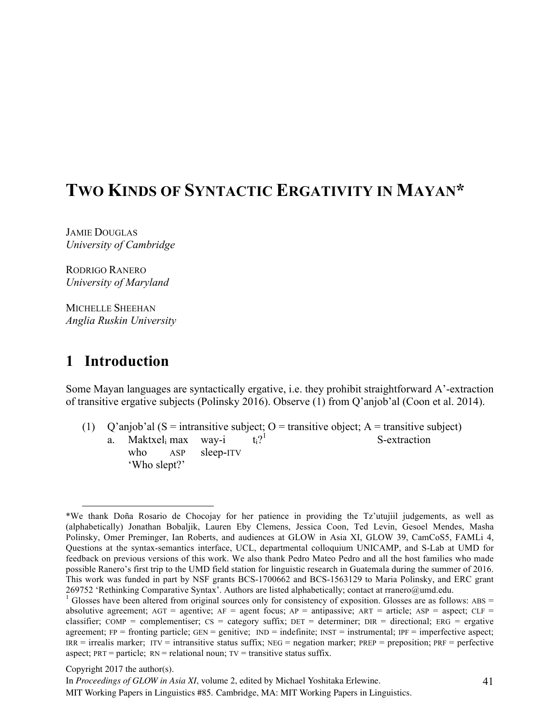# **TWO KINDS OF SYNTACTIC ERGATIVITY IN MAYAN\***

JAMIE DOUGLAS *University of Cambridge*

RODRIGO RANERO *University of Maryland*

MICHELLE SHEEHAN *Anglia Ruskin University*

## **1** Introduction

Some Mayan languages are syntactically ergative, i.e. they prohibit straightforward A'-extraction of transitive ergative subjects (Polinsky 2016). Observe (1) from Q'anjob'al (Coon et al. 2014).

(1) Q'anjob'al ( $S =$  intransitive subject; O = transitive object; A = transitive subject) a. Maktxel max way-i  $t_i$ ?<sup>1</sup> S-extraction who ASP sleep-ITV 'Who slept?'

 <sup>\*</sup>We thank Doña Rosario de Chocojay for her patience in providing the Tz'utujiil judgements, as well as (alphabetically) Jonathan Bobaljik, Lauren Eby Clemens, Jessica Coon, Ted Levin, Gesoel Mendes, Masha Polinsky, Omer Preminger, Ian Roberts, and audiences at GLOW in Asia XI, GLOW 39, CamCoS5, FAMLi 4, Questions at the syntax-semantics interface, UCL, departmental colloquium UNICAMP, and S-Lab at UMD for feedback on previous versions of this work. We also thank Pedro Mateo Pedro and all the host families who made possible Ranero's first trip to the UMD field station for linguistic research in Guatemala during the summer of 2016. This work was funded in part by NSF grants BCS-1700662 and BCS-1563129 to Maria Polinsky, and ERC grant 269752 'Rethinking Comparative Syntax'. Authors are listed alphabetically; contact at rranero@umd.edu.<br><sup>1</sup> Glosses have been altered from original sources only for consistency of exposition. Glosses are as follows: ABS =

absolutive agreement;  $AGT =$  agentive;  $AF =$  agent focus;  $AP =$  antipassive;  $ART =$  article;  $ASP =$  aspect;  $CLF =$ classifier; COMP = complementiser; CS = category suffix; DET = determiner; DIR = directional; ERG = ergative agreement;  $FP =$  fronting particle;  $GEN =$  genitive;  $IND =$  indefinite;  $INT =$  instrumental;  $PF =$  imperfective aspect;  $IRR =$  irrealis marker;  $ITV =$  intransitive status suffix;  $NEG =$  negation marker;  $PREP =$  preposition;  $PREF =$  perfective aspect;  $PRT =$  particle;  $RN =$  relational noun;  $TV =$  transitive status suffix.

Copyright 2017 the author(s).

In *Proceedings of GLOW in Asia XI*, volume 2, edited by Michael Yoshitaka Erlewine.

MIT Working Papers in Linguistics #85. Cambridge, MA: MIT Working Papers in Linguistics.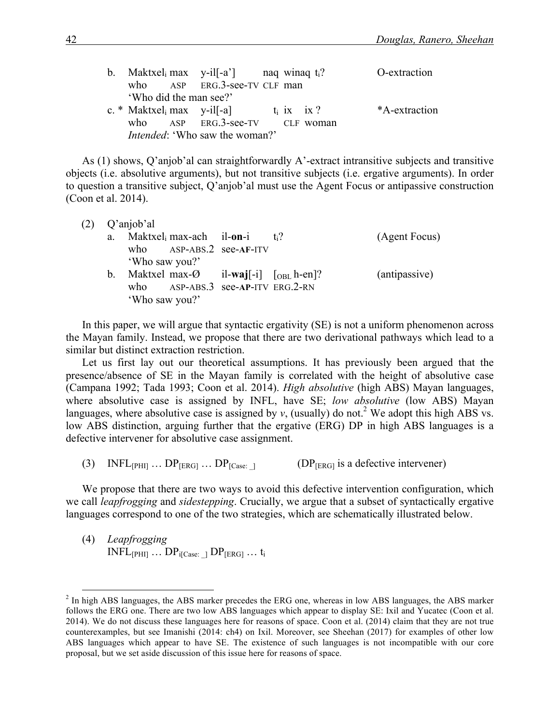|                        |                                                                          | b. Maktxel max y-il [-a'] naq winaq t | O-extraction  |
|------------------------|--------------------------------------------------------------------------|---------------------------------------|---------------|
|                        | who ASP ERG.3-see-TV CLF man                                             |                                       |               |
| 'Who did the man see?' |                                                                          |                                       |               |
|                        | c. * Maktxel <sub>i</sub> max y-il <sup>[-a]</sup> t <sub>i</sub> ix ix? |                                       | *A-extraction |
|                        |                                                                          | who ASP ERG.3-see-TV CLF woman        |               |
|                        | <i>Intended:</i> 'Who saw the woman?'                                    |                                       |               |

As (1) shows, Q'anjob'al can straightforwardly A'-extract intransitive subjects and transitive objects (i.e. absolutive arguments), but not transitive subjects (i.e. ergative arguments). In order to question a transitive subject, Q'anjob'al must use the Agent Focus or antipassive construction (Coon et al. 2014).

| Q'anjob'al |  |  |                                  |                            |                                                                                                                              |  |  |
|------------|--|--|----------------------------------|----------------------------|------------------------------------------------------------------------------------------------------------------------------|--|--|
|            |  |  |                                  | $+2$                       | (Agent Focus)                                                                                                                |  |  |
|            |  |  |                                  |                            |                                                                                                                              |  |  |
|            |  |  |                                  |                            |                                                                                                                              |  |  |
| $b_{-}$    |  |  |                                  |                            | (antipassive)                                                                                                                |  |  |
|            |  |  |                                  |                            |                                                                                                                              |  |  |
|            |  |  |                                  |                            |                                                                                                                              |  |  |
|            |  |  | 'Who saw you?'<br>'Who saw you?' | a. Maktxel max-ach il-on-i | who ASP-ABS.2 see-AF-ITV<br>Maktxel max- $\emptyset$ il-waj[-i] [ <sub>OBL</sub> h-en]?<br>who ASP-ABS.3 see-AP-ITV ERG.2-RN |  |  |

In this paper, we will argue that syntactic ergativity (SE) is not a uniform phenomenon across the Mayan family. Instead, we propose that there are two derivational pathways which lead to a similar but distinct extraction restriction.

Let us first lay out our theoretical assumptions. It has previously been argued that the presence/absence of SE in the Mayan family is correlated with the height of absolutive case (Campana 1992; Tada 1993; Coon et al. 2014). *High absolutive* (high ABS) Mayan languages, where absolutive case is assigned by INFL, have SE; *low absolutive* (low ABS) Mayan languages, where absolutive case is assigned by  $v$ , (usually) do not.<sup>2</sup> We adopt this high ABS vs. low ABS distinction, arguing further that the ergative (ERG) DP in high ABS languages is a defective intervener for absolutive case assignment.

(3) INFL $_{[PHII]}$  ...  $DP_{[ERG]}$  ...  $DP_{[Case]}$  | (DP<sub>[ERG]</sub> is a defective intervener)

We propose that there are two ways to avoid this defective intervention configuration, which we call *leapfrogging* and *sidestepping*. Crucially, we argue that a subset of syntactically ergative languages correspond to one of the two strategies, which are schematically illustrated below.

(4) *Leapfrogging*  $INFL_{[PHI]} \dots DP_{i[Case:]} DP_{[ERG]} \dots t_i$ 

 $<sup>2</sup>$  In high ABS languages, the ABS marker precedes the ERG one, whereas in low ABS languages, the ABS marker</sup> follows the ERG one. There are two low ABS languages which appear to display SE: Ixil and Yucatec (Coon et al. 2014). We do not discuss these languages here for reasons of space. Coon et al. (2014) claim that they are not true counterexamples, but see Imanishi (2014: ch4) on Ixil. Moreover, see Sheehan (2017) for examples of other low ABS languages which appear to have SE. The existence of such languages is not incompatible with our core proposal, but we set aside discussion of this issue here for reasons of space.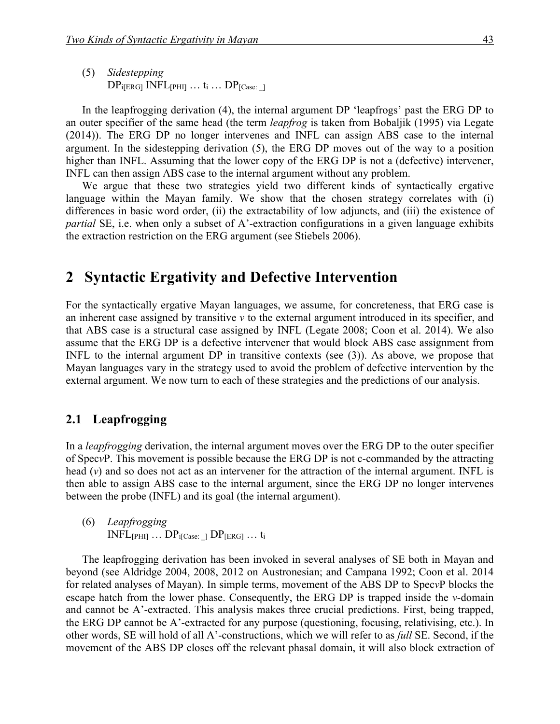(5) *Sidestepping*  $DP_{i[ERG]}$  INFL $_{[PHII]}$  ...  $t_i$  ...  $DP_{[Case]}$ 

In the leapfrogging derivation (4), the internal argument DP 'leapfrogs' past the ERG DP to an outer specifier of the same head (the term *leapfrog* is taken from Bobaljik (1995) via Legate (2014)). The ERG DP no longer intervenes and INFL can assign ABS case to the internal argument. In the sidestepping derivation (5), the ERG DP moves out of the way to a position higher than INFL. Assuming that the lower copy of the ERG DP is not a (defective) intervener, INFL can then assign ABS case to the internal argument without any problem.

We argue that these two strategies yield two different kinds of syntactically ergative language within the Mayan family. We show that the chosen strategy correlates with (i) differences in basic word order, (ii) the extractability of low adjuncts, and (iii) the existence of *partial* SE, i.e. when only a subset of A'-extraction configurations in a given language exhibits the extraction restriction on the ERG argument (see Stiebels 2006).

### **2** Syntactic Ergativity and Defective Intervention

For the syntactically ergative Mayan languages, we assume, for concreteness, that ERG case is an inherent case assigned by transitive *v* to the external argument introduced in its specifier, and that ABS case is a structural case assigned by INFL (Legate 2008; Coon et al. 2014). We also assume that the ERG DP is a defective intervener that would block ABS case assignment from INFL to the internal argument DP in transitive contexts (see (3)). As above, we propose that Mayan languages vary in the strategy used to avoid the problem of defective intervention by the external argument. We now turn to each of these strategies and the predictions of our analysis.

#### 2.1 Leapfrogging

In a *leapfrogging* derivation, the internal argument moves over the ERG DP to the outer specifier of Spec*v*P. This movement is possible because the ERG DP is not c-commanded by the attracting head (*v*) and so does not act as an intervener for the attraction of the internal argument. INFL is then able to assign ABS case to the internal argument, since the ERG DP no longer intervenes between the probe (INFL) and its goal (the internal argument).

(6) *Leapfrogging*  $INFL[PHII]$  ...  $DP_{i[Case:]}DP_{[ERG]}$  ...  $t_i$ 

The leapfrogging derivation has been invoked in several analyses of SE both in Mayan and beyond (see Aldridge 2004, 2008, 2012 on Austronesian; and Campana 1992; Coon et al. 2014 for related analyses of Mayan). In simple terms, movement of the ABS DP to Spec*v*P blocks the escape hatch from the lower phase. Consequently, the ERG DP is trapped inside the *v*-domain and cannot be A'-extracted. This analysis makes three crucial predictions. First, being trapped, the ERG DP cannot be A'-extracted for any purpose (questioning, focusing, relativising, etc.). In other words, SE will hold of all A'-constructions, which we will refer to as *full* SE. Second, if the movement of the ABS DP closes off the relevant phasal domain, it will also block extraction of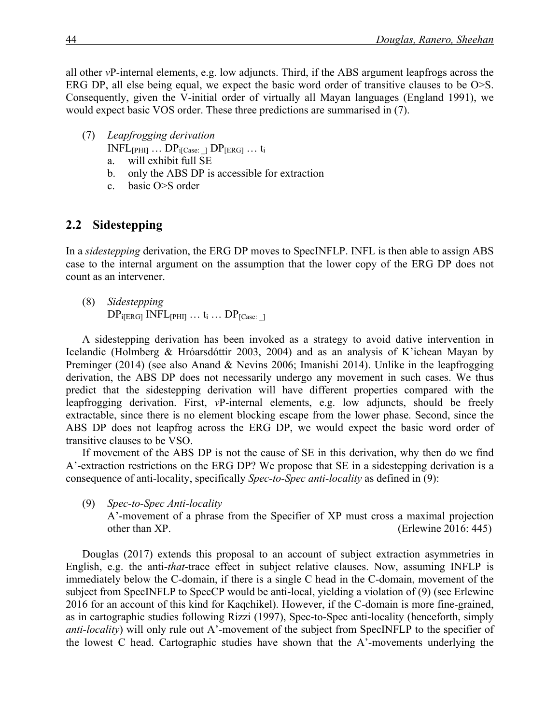all other *v*P-internal elements, e.g. low adjuncts. Third, if the ABS argument leapfrogs across the ERG DP, all else being equal, we expect the basic word order of transitive clauses to be O>S. Consequently, given the V-initial order of virtually all Mayan languages (England 1991), we would expect basic VOS order. These three predictions are summarised in (7).

- (7) *Leapfrogging derivation*
	- $INFL_{[PHI]} \ldots DP_{i[Case:]} DP_{[ERG]} \ldots t_i$
	- a. will exhibit full SE
	- b. only the ABS DP is accessible for extraction
	- c. basic O>S order

### 2.2 Sidestepping

In a *sidestepping* derivation, the ERG DP moves to SpecINFLP. INFL is then able to assign ABS case to the internal argument on the assumption that the lower copy of the ERG DP does not count as an intervener.

(8) *Sidestepping*  $DP_{i[ERG]}$  INFL $_{[PHI]}$  ...  $t_i$  ...  $DP_{[Case]}$ 

A sidestepping derivation has been invoked as a strategy to avoid dative intervention in Icelandic (Holmberg & Hróarsdóttir 2003, 2004) and as an analysis of K'ichean Mayan by Preminger (2014) (see also Anand & Nevins 2006; Imanishi 2014). Unlike in the leapfrogging derivation, the ABS DP does not necessarily undergo any movement in such cases. We thus predict that the sidestepping derivation will have different properties compared with the leapfrogging derivation. First, *v*P-internal elements, e.g. low adjuncts, should be freely extractable, since there is no element blocking escape from the lower phase. Second, since the ABS DP does not leapfrog across the ERG DP, we would expect the basic word order of transitive clauses to be VSO.

If movement of the ABS DP is not the cause of SE in this derivation, why then do we find A'-extraction restrictions on the ERG DP? We propose that SE in a sidestepping derivation is a consequence of anti-locality, specifically *Spec-to-Spec anti-locality* as defined in (9):

(9) *Spec-to-Spec Anti-locality*

A'-movement of a phrase from the Specifier of XP must cross a maximal projection other than XP. (Erlewine 2016: 445)

Douglas (2017) extends this proposal to an account of subject extraction asymmetries in English, e.g. the anti-*that*-trace effect in subject relative clauses. Now, assuming INFLP is immediately below the C-domain, if there is a single C head in the C-domain, movement of the subject from SpecINFLP to SpecCP would be anti-local, yielding a violation of (9) (see Erlewine 2016 for an account of this kind for Kaqchikel). However, if the C-domain is more fine-grained, as in cartographic studies following Rizzi (1997), Spec-to-Spec anti-locality (henceforth, simply *anti-locality*) will only rule out A'-movement of the subject from SpecINFLP to the specifier of the lowest C head. Cartographic studies have shown that the A'-movements underlying the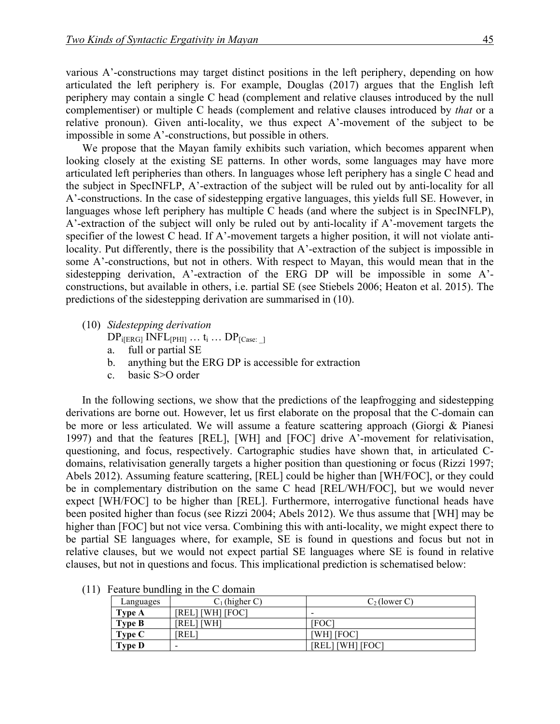various A'-constructions may target distinct positions in the left periphery, depending on how articulated the left periphery is. For example, Douglas (2017) argues that the English left periphery may contain a single C head (complement and relative clauses introduced by the null complementiser) or multiple C heads (complement and relative clauses introduced by *that* or a relative pronoun). Given anti-locality, we thus expect A'-movement of the subject to be impossible in some A'-constructions, but possible in others.

We propose that the Mayan family exhibits such variation, which becomes apparent when looking closely at the existing SE patterns. In other words, some languages may have more articulated left peripheries than others. In languages whose left periphery has a single C head and the subject in SpecINFLP, A'-extraction of the subject will be ruled out by anti-locality for all A'-constructions. In the case of sidestepping ergative languages, this yields full SE. However, in languages whose left periphery has multiple C heads (and where the subject is in SpecINFLP), A'-extraction of the subject will only be ruled out by anti-locality if A'-movement targets the specifier of the lowest C head. If A'-movement targets a higher position, it will not violate antilocality. Put differently, there is the possibility that A'-extraction of the subject is impossible in some A'-constructions, but not in others. With respect to Mayan, this would mean that in the sidestepping derivation, A'-extraction of the ERG DP will be impossible in some A' constructions, but available in others, i.e. partial SE (see Stiebels 2006; Heaton et al. 2015). The predictions of the sidestepping derivation are summarised in (10).

(10) *Sidestepping derivation*

 $DP_{i[ERG]}$  INFL $_{[PHII]}$  ...  $t_i$  ...  $DP_{[Case]}$ 

- a. full or partial SE
- b. anything but the ERG DP is accessible for extraction
- c. basic S>O order

In the following sections, we show that the predictions of the leapfrogging and sidestepping derivations are borne out. However, let us first elaborate on the proposal that the C-domain can be more or less articulated. We will assume a feature scattering approach (Giorgi & Pianesi 1997) and that the features [REL], [WH] and [FOC] drive A'-movement for relativisation, questioning, and focus, respectively. Cartographic studies have shown that, in articulated Cdomains, relativisation generally targets a higher position than questioning or focus (Rizzi 1997; Abels 2012). Assuming feature scattering, [REL] could be higher than [WH/FOC], or they could be in complementary distribution on the same C head [REL/WH/FOC], but we would never expect [WH/FOC] to be higher than [REL]. Furthermore, interrogative functional heads have been posited higher than focus (see Rizzi 2004; Abels 2012). We thus assume that [WH] may be higher than [FOC] but not vice versa. Combining this with anti-locality, we might expect there to be partial SE languages where, for example, SE is found in questions and focus but not in relative clauses, but we would not expect partial SE languages where SE is found in relative clauses, but not in questions and focus. This implicational prediction is schematised below:

| Languages     | $C_1$ (higher C) | $C_2$ (lower C)  |
|---------------|------------------|------------------|
| Type A        | [REL] [WH] [FOC] | -                |
| <b>Type B</b> | [REL] [WH]       | IFOC             |
| Type C        | `REL             | [WH] [FOC]       |
| <b>Type D</b> | -                | WHI [FOC]<br>REL |

(11) Feature bundling in the C domain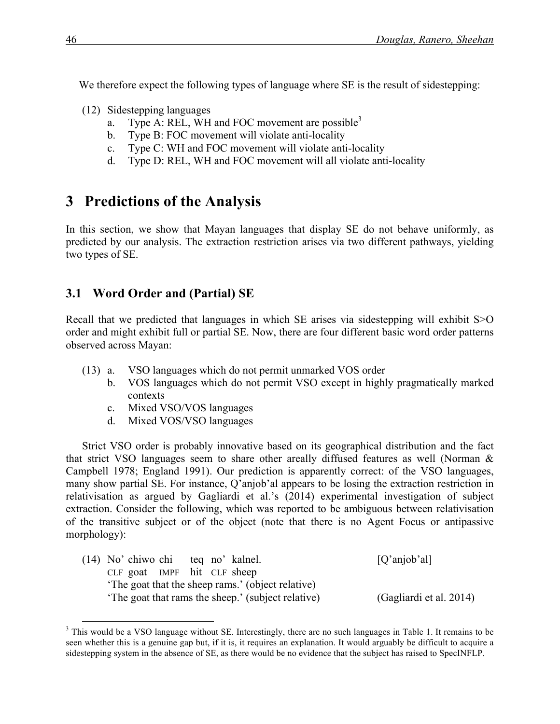We therefore expect the following types of language where SE is the result of sidestepping:

- (12) Sidestepping languages
	- a. Type A: REL, WH and FOC movement are possible<sup>3</sup>
	- b. Type B: FOC movement will violate anti-locality
	- c. Type C: WH and FOC movement will violate anti-locality
	- d. Type D: REL, WH and FOC movement will all violate anti-locality

## **3** Predictions of the Analysis

In this section, we show that Mayan languages that display SE do not behave uniformly, as predicted by our analysis. The extraction restriction arises via two different pathways, yielding two types of SE.

### **3.1 Word Order and (Partial) SE**

Recall that we predicted that languages in which SE arises via sidestepping will exhibit S>O order and might exhibit full or partial SE. Now, there are four different basic word order patterns observed across Mayan:

- (13) a. VSO languages which do not permit unmarked VOS order
	- b. VOS languages which do not permit VSO except in highly pragmatically marked contexts
	- c. Mixed VSO/VOS languages
	- d. Mixed VOS/VSO languages

Strict VSO order is probably innovative based on its geographical distribution and the fact that strict VSO languages seem to share other areally diffused features as well (Norman & Campbell 1978; England 1991). Our prediction is apparently correct: of the VSO languages, many show partial SE. For instance, Q'anjob'al appears to be losing the extraction restriction in relativisation as argued by Gagliardi et al.'s (2014) experimental investigation of subject extraction. Consider the following, which was reported to be ambiguous between relativisation of the transitive subject or of the object (note that there is no Agent Focus or antipassive morphology):

| (14) No' chiwo chi teg no' kalnel. |                                                   | [Q'anjob'al]            |
|------------------------------------|---------------------------------------------------|-------------------------|
| CLF goat IMPF hit CLF sheep        |                                                   |                         |
|                                    | The goat that the sheep rams.' (object relative)  |                         |
|                                    | The goat that rams the sheep.' (subject relative) | (Gagliardi et al. 2014) |

<sup>&</sup>lt;sup>3</sup> This would be a VSO language without SE. Interestingly, there are no such languages in Table 1. It remains to be seen whether this is a genuine gap but, if it is, it requires an explanation. It would arguably be difficult to acquire a sidestepping system in the absence of SE, as there would be no evidence that the subject has raised to SpecINFLP.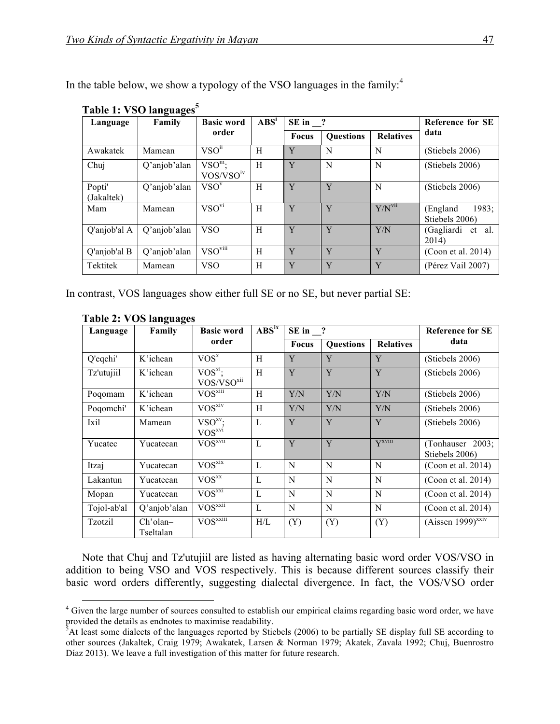| Language             | Family       | <b>Basic word</b>                      | $\mathbf{ABS}^i$ | SE in ?      |                  |                      | <b>Reference for SE</b>             |
|----------------------|--------------|----------------------------------------|------------------|--------------|------------------|----------------------|-------------------------------------|
|                      |              | order                                  |                  | <b>Focus</b> | <b>Questions</b> | <b>Relatives</b>     | data                                |
| Awakatek             | Mamean       | VSO <sup>11</sup>                      | H                | Y            | N                | N                    | (Stiebels 2006)                     |
| Chuj                 | Q'anjob'alan | $VSO^{iii}$ ;<br>VOS/YSO <sup>iv</sup> | H                | Y            | N                | N                    | (Stiebels 2006)                     |
| Popti'<br>(Jakaltek) | Q'anjob'alan | $VSO^{V}$                              | H                | Y            | Y                | N                    | (Stiebels 2006)                     |
| Mam                  | Mamean       | VSO <sub>vi</sub>                      | H                | Y            | Y                | $Y/N$ <sup>vii</sup> | 1983;<br>(England<br>Stiebels 2006) |
| Q'anjob'al A         | Q'anjob'alan | <b>VSO</b>                             | H                | Y            | Y                | Y/N                  | (Gagliardi<br>et<br>al.<br>2014)    |
| Q'anjob'al B         | Q'anjob'alan | VSO <sub>viii</sub>                    | H                | Y            | Y                | Y                    | (Coon et al. 2014)                  |
| Tektitek             | Mamean       | <b>VSO</b>                             | H                | Y            | Y                | Y                    | (Pérez Vail 2007)                   |

In the table below, we show a typology of the VSO languages in the family: $4\pi$ 

In contrast, VOS languages show either full SE or no SE, but never partial SE:

| Language    | Family                | <b>Basic word</b>                    | $\mathbf{ABS}^{ix}$ | SE in ?      |                  | <b>Reference for SE</b> |                                    |
|-------------|-----------------------|--------------------------------------|---------------------|--------------|------------------|-------------------------|------------------------------------|
|             |                       | order                                |                     | <b>Focus</b> | <b>Questions</b> | <b>Relatives</b>        | data                               |
| Q'eqchi'    | K'ichean              | VOS <sup>x</sup>                     | H                   | Y            | Y                | Y                       | (Stiebels 2006)                    |
| Tz'utujiil  | K'ichean              | $VOS^{xi}$<br>VOS/VSO <sup>xii</sup> | H                   | Y            | Y                | Y                       | (Stiebels 2006)                    |
| Poqomam     | K'ichean              | $VOS$ <sup>xiii</sup>                | H                   | Y/N          | Y/N              | Y/N                     | (Stiebels 2006)                    |
| Poqomchi'   | K'ichean              | VOS <sub>xiv</sub>                   | H                   | Y/N          | Y/N              | Y/N                     | (Stiebels 2006)                    |
| Ixil        | Mamean                | $VSO^{xy}$ :<br>VOS <sub>xvi</sub>   | $\mathbf{L}$        | Y            | Y                | Y                       | (Stiebels 2006)                    |
| Yucatec     | Yucatecan             | $VOS$ <sup>xvii</sup>                | $\mathbf{L}$        | Y            | Y                | $Y^{xviii}$             | (Tonhauser 2003;<br>Stiebels 2006) |
| Itzaj       | Yucatecan             | $VO\overline{S^{xix}}$               | $\mathbf{L}$        | N            | N                | N                       | (Coon et al. 2014)                 |
| Lakantun    | Yucatecan             | VOS <sub>xx</sub>                    | $\mathbf{L}$        | N            | N                | N                       | (Coon et al. 2014)                 |
| Mopan       | Yucatecan             | VOS <sub>xx1</sub>                   | L                   | N            | N                | N                       | (Coon et al. 2014)                 |
| Tojol-ab'al | Q'anjob'alan          | $VOS^{xxII}$                         | $\mathbf{L}$        | N            | N                | N                       | (Coon et al. 2014)                 |
| Tzotzil     | Ch'olan-<br>Tseltalan | $VOS$ <sub>xxiii</sub>               | $\rm H/L$           | (Y)          | (Y)              | (Y)                     | $(Aissen 1999)^{xxiv}$             |

#### **Table 2: VOS languages**

Note that Chuj and Tz'utujiil are listed as having alternating basic word order VOS/VSO in addition to being VSO and VOS respectively. This is because different sources classify their basic word orders differently, suggesting dialectal divergence. In fact, the VOS/VSO order

<sup>&</sup>lt;sup>4</sup> Given the large number of sources consulted to establish our empirical claims regarding basic word order, we have

provided the details as endnotes to maximise readability.<br><sup>5</sup>At least some dialects of the languages reported by Stiebels (2006) to be partially SE display full SE according to other sources (Jakaltek, Craig 1979; Awakatek, Larsen & Norman 1979; Akatek, Zavala 1992; Chuj, Buenrostro Díaz 2013). We leave a full investigation of this matter for future research.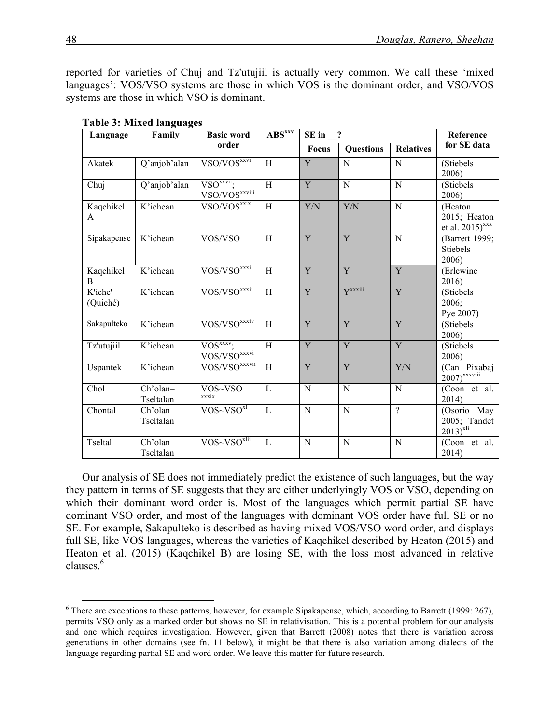reported for varieties of Chuj and Tz'utujiil is actually very common. We call these 'mixed languages': VOS/VSO systems are those in which VOS is the dominant order, and VSO/VOS systems are those in which VSO is dominant.

| Language            | Family                | <b>Basic word</b>                                                      | $\mathbf{ABS}$ xxv | $SE in$ $\frac{?}{?}$ |                  | Reference        |                                                 |
|---------------------|-----------------------|------------------------------------------------------------------------|--------------------|-----------------------|------------------|------------------|-------------------------------------------------|
|                     |                       | order                                                                  |                    | <b>Focus</b>          | <b>Questions</b> | <b>Relatives</b> | for SE data                                     |
| Akatek              | Q'anjob'alan          | VSO/VOS <sup>xxvi</sup>                                                | $\overline{H}$     | Y                     | N                | $\overline{N}$   | (Stiebels<br>2006)                              |
| Chuj                | Q'anjob'alan          | VSO <sub>xxvii</sub><br>$\overline{\text{VSO}}$ /VOS <sup>xxviii</sup> | H                  | Y                     | $\mathbf N$      | $\overline{N}$   | (Stiebels)<br>2006)                             |
| Kaqchikel<br>A      | K'ichean              | $VSO/VOS^{xx}$                                                         | H                  | Y/N                   | Y/N              | $\mathbf N$      | (Heaton<br>2015; Heaton<br>et al. $2015)^{xxx}$ |
| Sipakapense         | K'ichean              | VOS/VSO                                                                | H                  | Y                     | Y                | $\overline{N}$   | (Barrett 1999;<br><b>Stiebels</b><br>2006)      |
| Kaqchikel<br>B      | K'ichean              | VOS/VSO <sup>xxxi</sup>                                                | $\rm H$            | Y                     | Y                | Y                | (Erlewine<br>2016)                              |
| K'iche'<br>(Quiché) | $\overline{K}$ ichean | VOS/VSO <sup>xxxii</sup>                                               | H                  | Y                     | $V^{XXIII}$      | $\overline{Y}$   | (Stiebels<br>2006;<br>Pye 2007)                 |
| Sakapulteko         | K'ichean              | VOS/VSO <sup>xxxiv</sup>                                               | H                  | Y                     | $\overline{Y}$   | Y                | (Stiebels)<br>2006)                             |
| Tz'utujiil          | K'ichean              | $VOS^{xxxx}$ :<br>$VOS/VSO^{xxxxi}$                                    | $\overline{H}$     | $\overline{Y}$        | $\overline{Y}$   | $\overline{Y}$   | (Stiebels<br>2006)                              |
| Uspantek            | K'ichean              | VOS/VSO <sup>xxxvii</sup>                                              | H                  | Y                     | Y                | Y/N              | (Can Pixabaj<br>$2007)$ <sup>xxxviii</sup>      |
| Chol                | Ch'olan-<br>Tseltalan | VOS~VSO<br>xxxix                                                       | L                  | N                     | N                | N                | (Coon et al.<br>2014)                           |
| Chontal             | Ch'olan-<br>Tseltalan | $VOS-VSOxl$                                                            | $\mathbf{L}$       | N                     | ${\bf N}$        | $\gamma$         | (Osorio May<br>2005; Tandet<br>$2013)^{x}$      |
| Tseltal             | Ch'olan-<br>Tseltalan | $VOS-VSOxlii$                                                          | $\mathbf{L}$       | N                     | N                | N                | (Coon et al.<br>2014)                           |

**Table 3: Mixed languages**

Our analysis of SE does not immediately predict the existence of such languages, but the way they pattern in terms of SE suggests that they are either underlyingly VOS or VSO, depending on which their dominant word order is. Most of the languages which permit partial SE have dominant VSO order, and most of the languages with dominant VOS order have full SE or no SE. For example, Sakapulteko is described as having mixed VOS/VSO word order, and displays full SE, like VOS languages, whereas the varieties of Kaqchikel described by Heaton (2015) and Heaton et al. (2015) (Kaqchikel B) are losing SE, with the loss most advanced in relative clauses. 6

 $6$  There are exceptions to these patterns, however, for example Sipakapense, which, according to Barrett (1999: 267), permits VSO only as a marked order but shows no SE in relativisation. This is a potential problem for our analysis and one which requires investigation. However, given that Barrett (2008) notes that there is variation across generations in other domains (see fn. 11 below), it might be that there is also variation among dialects of the language regarding partial SE and word order. We leave this matter for future research.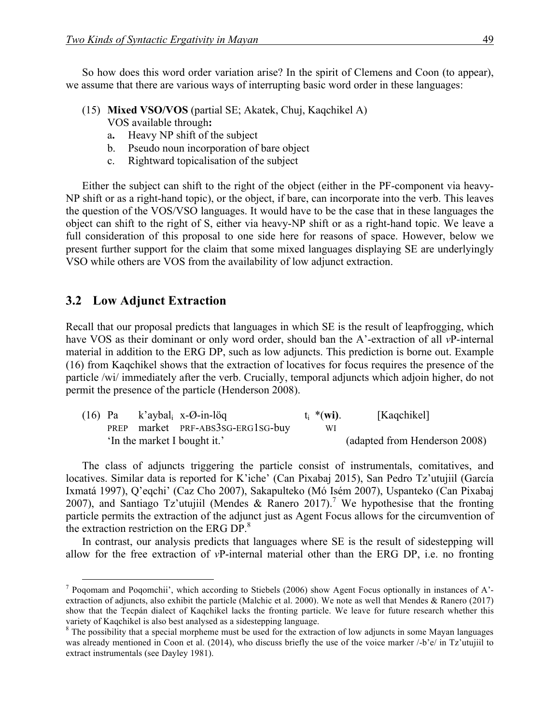So how does this word order variation arise? In the spirit of Clemens and Coon (to appear), we assume that there are various ways of interrupting basic word order in these languages:

- (15) **Mixed VSO/VOS** (partial SE; Akatek, Chuj, Kaqchikel A) VOS available through**:**
	- a**.** Heavy NP shift of the subject
	- b. Pseudo noun incorporation of bare object
	- c. Rightward topicalisation of the subject

Either the subject can shift to the right of the object (either in the PF-component via heavy-NP shift or as a right-hand topic), or the object, if bare, can incorporate into the verb. This leaves the question of the VOS/VSO languages. It would have to be the case that in these languages the object can shift to the right of S, either via heavy-NP shift or as a right-hand topic. We leave a full consideration of this proposal to one side here for reasons of space. However, below we present further support for the claim that some mixed languages displaying SE are underlyingly VSO while others are VOS from the availability of low adjunct extraction.

#### **3.2** Low Adjunct Extraction

Recall that our proposal predicts that languages in which SE is the result of leapfrogging, which have VOS as their dominant or only word order, should ban the A'-extraction of all *v*P-internal material in addition to the ERG DP, such as low adjuncts. This prediction is borne out. Example (16) from Kaqchikel shows that the extraction of locatives for focus requires the presence of the particle /wi/ immediately after the verb. Crucially, temporal adjuncts which adjoin higher, do not permit the presence of the particle (Henderson 2008).

|  | $(16)$ Pa k'aybal <sub>i</sub> x-Ø-in-löq | $t_i$ *(wi). | [Kaqchikel]                   |
|--|-------------------------------------------|--------------|-------------------------------|
|  | PREP market PRF-ABS3SG-ERG1SG-buy         | WI           |                               |
|  | 'In the market I bought it.'              |              | (adapted from Henderson 2008) |

The class of adjuncts triggering the particle consist of instrumentals, comitatives, and locatives. Similar data is reported for K'iche' (Can Pixabaj 2015), San Pedro Tz'utujiil (García Ixmatá 1997), Q'eqchi' (Caz Cho 2007), Sakapulteko (Mó Isém 2007), Uspanteko (Can Pixabaj 2007), and Santiago Tz'utujiil (Mendes & Ranero 2017).<sup>7</sup> We hypothesise that the fronting particle permits the extraction of the adjunct just as Agent Focus allows for the circumvention of the extraction restriction on the ERG DP.<sup>8</sup>

In contrast, our analysis predicts that languages where SE is the result of sidestepping will allow for the free extraction of *v*P-internal material other than the ERG DP, i.e. no fronting

 <sup>7</sup> Poqomam and Poqomchii', which according to Stiebels (2006) show Agent Focus optionally in instances of A' extraction of adjuncts, also exhibit the particle (Malchic et al. 2000). We note as well that Mendes & Ranero (2017) show that the Tecpán dialect of Kaqchikel lacks the fronting particle. We leave for future research whether this variety of Kaqchikel is also best analysed as a sidestepping language.

<sup>&</sup>lt;sup>8</sup> The possibility that a special morpheme must be used for the extraction of low adjuncts in some Mayan languages was already mentioned in Coon et al. (2014), who discuss briefly the use of the voice marker /-b'e/ in Tz'utujiil to extract instrumentals (see Dayley 1981).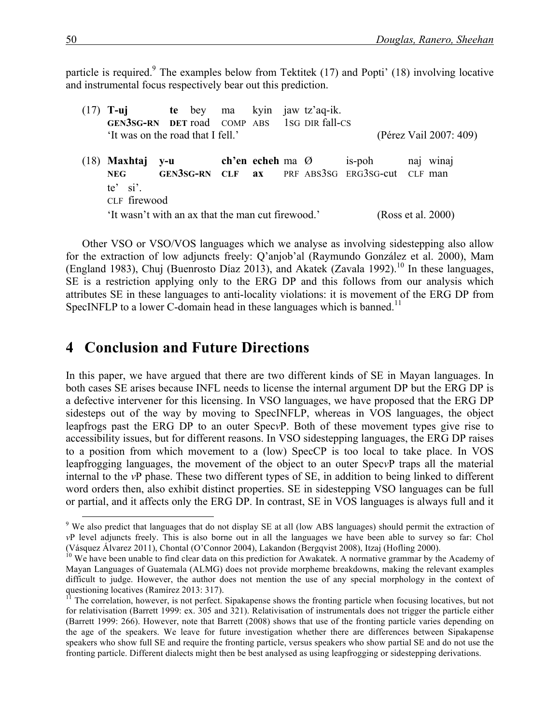particle is required.<sup>9</sup> The examples below from Tektitek (17) and Popti' (18) involving locative and instrumental focus respectively bear out this prediction.

(17) **T-uj te** bey ma kyin jaw tz'aq-ik. **GEN3SG-RN DET** road COMP ABS 1SG DIR fall-CS 'It was on the road that I fell.' (Pérez Vail 2007: 409) (18) **Maxhtaj y-u ch'en echeh** ma Ø is-poh naj winaj **NEG GEN3SG-RN CLF ax** PRF ABS3SG ERG3SG-cut CLF man te' si'. CLF firewood 'It wasn't with an ax that the man cut firewood.' (Ross et al. 2000)

Other VSO or VSO/VOS languages which we analyse as involving sidestepping also allow for the extraction of low adjuncts freely: Q'anjob'al (Raymundo González et al. 2000), Mam (England 1983), Chuj (Buenrosto Díaz 2013), and Akatek (Zavala 1992).<sup>10</sup> In these languages, SE is a restriction applying only to the ERG DP and this follows from our analysis which attributes SE in these languages to anti-locality violations: it is movement of the ERG DP from SpecINFLP to a lower C-domain head in these languages which is banned.<sup>11</sup>

## **4 Conclusion and Future Directions**

In this paper, we have argued that there are two different kinds of SE in Mayan languages. In both cases SE arises because INFL needs to license the internal argument DP but the ERG DP is a defective intervener for this licensing. In VSO languages, we have proposed that the ERG DP sidesteps out of the way by moving to SpecINFLP, whereas in VOS languages, the object leapfrogs past the ERG DP to an outer Spec*v*P. Both of these movement types give rise to accessibility issues, but for different reasons. In VSO sidestepping languages, the ERG DP raises to a position from which movement to a (low) SpecCP is too local to take place. In VOS leapfrogging languages, the movement of the object to an outer Spec*v*P traps all the material internal to the *v*P phase. These two different types of SE, in addition to being linked to different word orders then, also exhibit distinct properties. SE in sidestepping VSO languages can be full or partial, and it affects only the ERG DP. In contrast, SE in VOS languages is always full and it

<sup>&</sup>lt;sup>9</sup> We also predict that languages that do not display SE at all (low ABS languages) should permit the extraction of *v*P level adjuncts freely. This is also borne out in all the languages we have been able to survey so far: Chol (Vásquez Álvarez 2011), Chontal (O'Connor 2004), Lakandon (Bergqvist 2008), Itzaj (Hofling 2000).<br><sup>10</sup> We have been unable to find clear data on this prediction for Awakatek. A normative grammar by the Academy of

Mayan Languages of Guatemala (ALMG) does not provide morpheme breakdowns, making the relevant examples difficult to judge. However, the author does not mention the use of any special morphology in the context of questioning locatives (Ramírez 2013: 317).<br><sup>11</sup> The correlation, however, is not perfect. Sipakapense shows the fronting particle when focusing locatives, but not

for relativisation (Barrett 1999: ex. 305 and 321). Relativisation of instrumentals does not trigger the particle either (Barrett 1999: 266). However, note that Barrett (2008) shows that use of the fronting particle varies depending on the age of the speakers. We leave for future investigation whether there are differences between Sipakapense speakers who show full SE and require the fronting particle, versus speakers who show partial SE and do not use the fronting particle. Different dialects might then be best analysed as using leapfrogging or sidestepping derivations.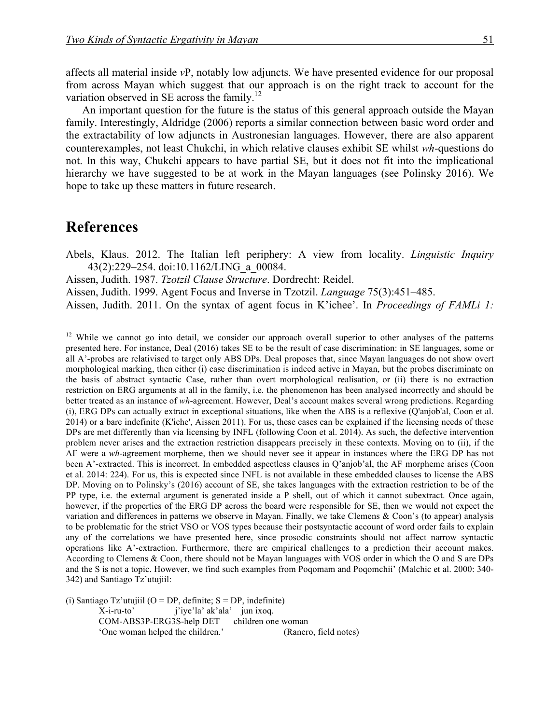affects all material inside *v*P, notably low adjuncts. We have presented evidence for our proposal from across Mayan which suggest that our approach is on the right track to account for the variation observed in SE across the family.<sup>12</sup>

An important question for the future is the status of this general approach outside the Mayan family. Interestingly, Aldridge (2006) reports a similar connection between basic word order and the extractability of low adjuncts in Austronesian languages. However, there are also apparent counterexamples, not least Chukchi, in which relative clauses exhibit SE whilst *wh*-questions do not. In this way, Chukchi appears to have partial SE, but it does not fit into the implicational hierarchy we have suggested to be at work in the Mayan languages (see Polinsky 2016). We hope to take up these matters in future research.

### **References**

- Abels, Klaus. 2012. The Italian left periphery: A view from locality. *Linguistic Inquiry* 43(2):229–254. doi:10.1162/LING\_a\_00084.
- Aissen, Judith. 1987. *Tzotzil Clause Structure*. Dordrecht: Reidel.
- Aissen, Judith. 1999. Agent Focus and Inverse in Tzotzil. *Language* 75(3):451–485.
- Aissen, Judith. 2011. On the syntax of agent focus in K'ichee'. In *Proceedings of FAMLi 1:*

(i) Santiago  $Tz$ 'utujiil (O = DP, definite; S = DP, indefinite) X-i-ru-to' j'iye'la' ak'ala' jun ixoq. COM-ABS3P-ERG3S-help DET children one woman 'One woman helped the children.' (Ranero, field notes)

<sup>&</sup>lt;sup>12</sup> While we cannot go into detail, we consider our approach overall superior to other analyses of the patterns presented here. For instance, Deal (2016) takes SE to be the result of case discrimination: in SE languages, some or all A'-probes are relativised to target only ABS DPs. Deal proposes that, since Mayan languages do not show overt morphological marking, then either (i) case discrimination is indeed active in Mayan, but the probes discriminate on the basis of abstract syntactic Case, rather than overt morphological realisation, or (ii) there is no extraction restriction on ERG arguments at all in the family, i.e. the phenomenon has been analysed incorrectly and should be better treated as an instance of *wh*-agreement. However, Deal's account makes several wrong predictions. Regarding (i), ERG DPs can actually extract in exceptional situations, like when the ABS is a reflexive (Q'anjob'al, Coon et al. 2014) or a bare indefinite (K'iche', Aissen 2011). For us, these cases can be explained if the licensing needs of these DPs are met differently than via licensing by INFL (following Coon et al. 2014). As such, the defective intervention problem never arises and the extraction restriction disappears precisely in these contexts. Moving on to (ii), if the AF were a *wh*-agreement morpheme, then we should never see it appear in instances where the ERG DP has not been A'-extracted. This is incorrect. In embedded aspectless clauses in Q'anjob'al, the AF morpheme arises (Coon et al. 2014: 224). For us, this is expected since INFL is not available in these embedded clauses to license the ABS DP. Moving on to Polinsky's (2016) account of SE, she takes languages with the extraction restriction to be of the PP type, i.e. the external argument is generated inside a P shell, out of which it cannot subextract. Once again, however, if the properties of the ERG DP across the board were responsible for SE, then we would not expect the variation and differences in patterns we observe in Mayan. Finally, we take Clemens & Coon's (to appear) analysis to be problematic for the strict VSO or VOS types because their postsyntactic account of word order fails to explain any of the correlations we have presented here, since prosodic constraints should not affect narrow syntactic operations like A'-extraction. Furthermore, there are empirical challenges to a prediction their account makes. According to Clemens & Coon, there should not be Mayan languages with VOS order in which the O and S are DPs and the S is not a topic. However, we find such examples from Poqomam and Poqomchii' (Malchic et al. 2000: 340- 342) and Santiago Tz'utujiil: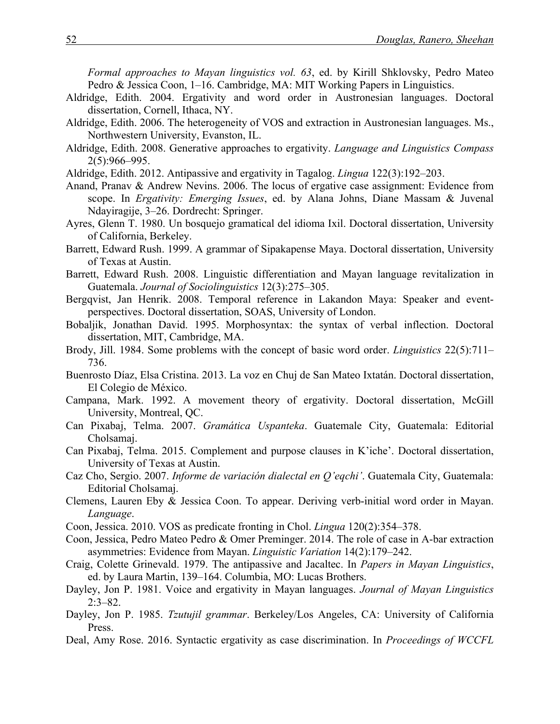*Formal approaches to Mayan linguistics vol. 63*, ed. by Kirill Shklovsky, Pedro Mateo Pedro & Jessica Coon, 1–16. Cambridge, MA: MIT Working Papers in Linguistics.

- Aldridge, Edith. 2004. Ergativity and word order in Austronesian languages. Doctoral dissertation, Cornell, Ithaca, NY.
- Aldridge, Edith. 2006. The heterogeneity of VOS and extraction in Austronesian languages. Ms., Northwestern University, Evanston, IL.
- Aldridge, Edith. 2008. Generative approaches to ergativity. *Language and Linguistics Compass* 2(5):966–995.
- Aldridge, Edith. 2012. Antipassive and ergativity in Tagalog. *Lingua* 122(3):192–203.
- Anand, Pranav & Andrew Nevins. 2006. The locus of ergative case assignment: Evidence from scope. In *Ergativity: Emerging Issues*, ed. by Alana Johns, Diane Massam & Juvenal Ndayiragije, 3–26. Dordrecht: Springer.
- Ayres, Glenn T. 1980. Un bosquejo gramatical del idioma Ixil. Doctoral dissertation, University of California, Berkeley.
- Barrett, Edward Rush. 1999. A grammar of Sipakapense Maya. Doctoral dissertation, University of Texas at Austin.
- Barrett, Edward Rush. 2008. Linguistic differentiation and Mayan language revitalization in Guatemala. *Journal of Sociolinguistics* 12(3):275–305.
- Bergqvist, Jan Henrik. 2008. Temporal reference in Lakandon Maya: Speaker and eventperspectives. Doctoral dissertation, SOAS, University of London.
- Bobaljik, Jonathan David. 1995. Morphosyntax: the syntax of verbal inflection. Doctoral dissertation, MIT, Cambridge, MA.
- Brody, Jill. 1984. Some problems with the concept of basic word order. *Linguistics* 22(5):711– 736.
- Buenrosto Díaz, Elsa Cristina. 2013. La voz en Chuj de San Mateo Ixtatán. Doctoral dissertation, El Colegio de México.
- Campana, Mark. 1992. A movement theory of ergativity. Doctoral dissertation, McGill University, Montreal, QC.
- Can Pixabaj, Telma. 2007. *Gramática Uspanteka*. Guatemale City, Guatemala: Editorial Cholsamaj.
- Can Pixabaj, Telma. 2015. Complement and purpose clauses in K'iche'. Doctoral dissertation, University of Texas at Austin.
- Caz Cho, Sergio. 2007. *Informe de variación dialectal en Q'eqchi'*. Guatemala City, Guatemala: Editorial Cholsamaj.
- Clemens, Lauren Eby & Jessica Coon. To appear. Deriving verb-initial word order in Mayan. *Language*.
- Coon, Jessica. 2010. VOS as predicate fronting in Chol. *Lingua* 120(2):354–378.
- Coon, Jessica, Pedro Mateo Pedro & Omer Preminger. 2014. The role of case in A-bar extraction asymmetries: Evidence from Mayan. *Linguistic Variation* 14(2):179–242.
- Craig, Colette Grinevald. 1979. The antipassive and Jacaltec. In *Papers in Mayan Linguistics*, ed. by Laura Martin, 139–164. Columbia, MO: Lucas Brothers.
- Dayley, Jon P. 1981. Voice and ergativity in Mayan languages. *Journal of Mayan Linguistics* 2:3–82.
- Dayley, Jon P. 1985. *Tzutujil grammar*. Berkeley/Los Angeles, CA: University of California Press.
- Deal, Amy Rose. 2016. Syntactic ergativity as case discrimination. In *Proceedings of WCCFL*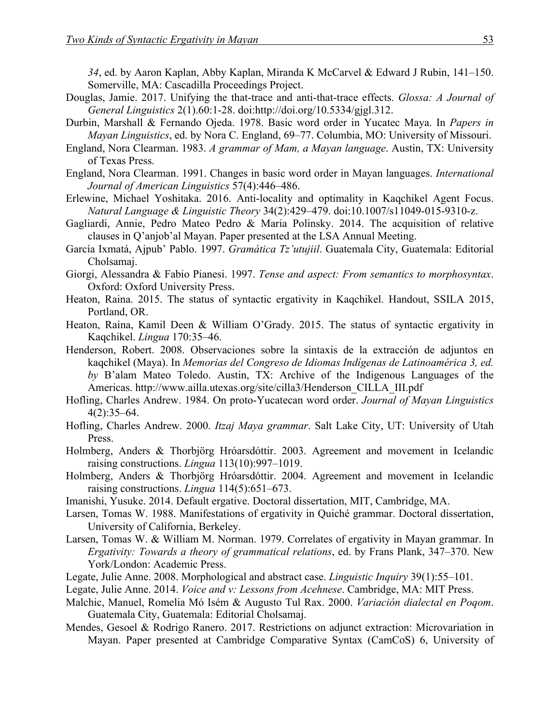*34*, ed. by Aaron Kaplan, Abby Kaplan, Miranda K McCarvel & Edward J Rubin, 141–150. Somerville, MA: Cascadilla Proceedings Project.

- Douglas, Jamie. 2017. Unifying the that-trace and anti-that-trace effects. *Glossa: A Journal of General Linguistics* 2(1).60:1-28. doi:http://doi.org/10.5334/gjgl.312.
- Durbin, Marshall & Fernando Ojeda. 1978. Basic word order in Yucatec Maya. In *Papers in Mayan Linguistics*, ed. by Nora C. England, 69–77. Columbia, MO: University of Missouri.
- England, Nora Clearman. 1983. *A grammar of Mam, a Mayan language*. Austin, TX: University of Texas Press.
- England, Nora Clearman. 1991. Changes in basic word order in Mayan languages. *International Journal of American Linguistics* 57(4):446–486.
- Erlewine, Michael Yoshitaka. 2016. Anti-locality and optimality in Kaqchikel Agent Focus. *Natural Language & Linguistic Theory* 34(2):429–479. doi:10.1007/s11049-015-9310-z.
- Gagliardi, Annie, Pedro Mateo Pedro & Maria Polinsky. 2014. The acquisition of relative clauses in Q'anjob'al Mayan. Paper presented at the LSA Annual Meeting.
- García Ixmatá, Ajpub' Pablo. 1997. *Gramática Tz'utujiil*. Guatemala City, Guatemala: Editorial Cholsamaj.
- Giorgi, Alessandra & Fabio Pianesi. 1997. *Tense and aspect: From semantics to morphosyntax*. Oxford: Oxford University Press.
- Heaton, Raina. 2015. The status of syntactic ergativity in Kaqchikel. Handout, SSILA 2015, Portland, OR.
- Heaton, Raina, Kamil Deen & William O'Grady. 2015. The status of syntactic ergativity in Kaqchikel. *Lingua* 170:35–46.
- Henderson, Robert. 2008. Observaciones sobre la sintaxis de la extracción de adjuntos en kaqchikel (Maya). In *Memorias del Congreso de Idiomas Indígenas de Latinoamérica 3, ed. by* B'alam Mateo Toledo. Austin, TX: Archive of the Indigenous Languages of the Americas. http://www.ailla.utexas.org/site/cilla3/Henderson\_CILLA\_III.pdf
- Hofling, Charles Andrew. 1984. On proto-Yucatecan word order. *Journal of Mayan Linguistics*  $4(2):35-64.$
- Hofling, Charles Andrew. 2000. *Itzaj Maya grammar*. Salt Lake City, UT: University of Utah Press.
- Holmberg, Anders & Thorbjörg Hróarsdóttir. 2003. Agreement and movement in Icelandic raising constructions. *Lingua* 113(10):997–1019.
- Holmberg, Anders & Thorbjörg Hróarsdóttir. 2004. Agreement and movement in Icelandic raising constructions. *Lingua* 114(5):651–673.
- Imanishi, Yusuke. 2014. Default ergative. Doctoral dissertation, MIT, Cambridge, MA.
- Larsen, Tomas W. 1988. Manifestations of ergativity in Quiché grammar. Doctoral dissertation, University of California, Berkeley.
- Larsen, Tomas W. & William M. Norman. 1979. Correlates of ergativity in Mayan grammar. In *Ergativity: Towards a theory of grammatical relations*, ed. by Frans Plank, 347–370. New York/London: Academic Press.
- Legate, Julie Anne. 2008. Morphological and abstract case. *Linguistic Inquiry* 39(1):55–101.
- Legate, Julie Anne. 2014. *Voice and v: Lessons from Acehnese*. Cambridge, MA: MIT Press.
- Malchic, Manuel, Romelia Mó Isém & Augusto Tul Rax. 2000. *Variación dialectal en Poqom*. Guatemala City, Guatemala: Editorial Cholsamaj.
- Mendes, Gesoel & Rodrigo Ranero. 2017. Restrictions on adjunct extraction: Microvariation in Mayan. Paper presented at Cambridge Comparative Syntax (CamCoS) 6, University of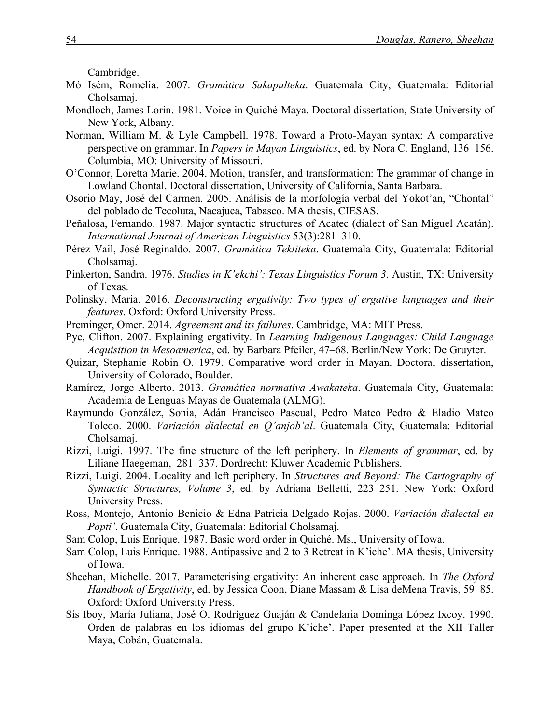Cambridge.

- Mó Isém, Romelia. 2007. *Gramática Sakapulteka*. Guatemala City, Guatemala: Editorial Cholsamaj.
- Mondloch, James Lorin. 1981. Voice in Quiché-Maya. Doctoral dissertation, State University of New York, Albany.
- Norman, William M. & Lyle Campbell. 1978. Toward a Proto-Mayan syntax: A comparative perspective on grammar. In *Papers in Mayan Linguistics*, ed. by Nora C. England, 136–156. Columbia, MO: University of Missouri.
- O'Connor, Loretta Marie. 2004. Motion, transfer, and transformation: The grammar of change in Lowland Chontal. Doctoral dissertation, University of California, Santa Barbara.
- Osorio May, José del Carmen. 2005. Análisis de la morfología verbal del Yokot'an, "Chontal" del poblado de Tecoluta, Nacajuca, Tabasco. MA thesis, CIESAS.
- Peñalosa, Fernando. 1987. Major syntactic structures of Acatec (dialect of San Miguel Acatán). *International Journal of American Linguistics* 53(3):281–310.
- Pérez Vail, José Reginaldo. 2007. *Gramática Tektiteka*. Guatemala City, Guatemala: Editorial Cholsamaj.
- Pinkerton, Sandra. 1976. *Studies in K'ekchi': Texas Linguistics Forum 3*. Austin, TX: University of Texas.
- Polinsky, Maria. 2016. *Deconstructing ergativity: Two types of ergative languages and their features*. Oxford: Oxford University Press.
- Preminger, Omer. 2014. *Agreement and its failures*. Cambridge, MA: MIT Press.
- Pye, Clifton. 2007. Explaining ergativity. In *Learning Indigenous Languages: Child Language Acquisition in Mesoamerica*, ed. by Barbara Pfeiler, 47–68. Berlin/New York: De Gruyter.
- Quizar, Stephanie Robin O. 1979. Comparative word order in Mayan. Doctoral dissertation, University of Colorado, Boulder.
- Ramírez, Jorge Alberto. 2013. *Gramática normativa Awakateka*. Guatemala City, Guatemala: Academia de Lenguas Mayas de Guatemala (ALMG).
- Raymundo González, Sonia, Adán Francisco Pascual, Pedro Mateo Pedro & Eladio Mateo Toledo. 2000. *Variación dialectal en Q'anjob'al*. Guatemala City, Guatemala: Editorial Cholsamaj.
- Rizzi, Luigi. 1997. The fine structure of the left periphery. In *Elements of grammar*, ed. by Liliane Haegeman, 281–337. Dordrecht: Kluwer Academic Publishers.
- Rizzi, Luigi. 2004. Locality and left periphery. In *Structures and Beyond: The Cartography of Syntactic Structures, Volume 3*, ed. by Adriana Belletti, 223–251. New York: Oxford University Press.
- Ross, Montejo, Antonio Benicio & Edna Patricia Delgado Rojas. 2000. *Variación dialectal en Popti'*. Guatemala City, Guatemala: Editorial Cholsamaj.
- Sam Colop, Luis Enrique. 1987. Basic word order in Quiché. Ms., University of Iowa.
- Sam Colop, Luis Enrique. 1988. Antipassive and 2 to 3 Retreat in K'iche'. MA thesis, University of Iowa.
- Sheehan, Michelle. 2017. Parameterising ergativity: An inherent case approach. In *The Oxford Handbook of Ergativity*, ed. by Jessica Coon, Diane Massam & Lisa deMena Travis, 59–85. Oxford: Oxford University Press.
- Sis Iboy, María Juliana, José O. Rodríguez Guaján & Candelaria Dominga López Ixcoy. 1990. Orden de palabras en los idiomas del grupo K'iche'. Paper presented at the XII Taller Maya, Cobán, Guatemala.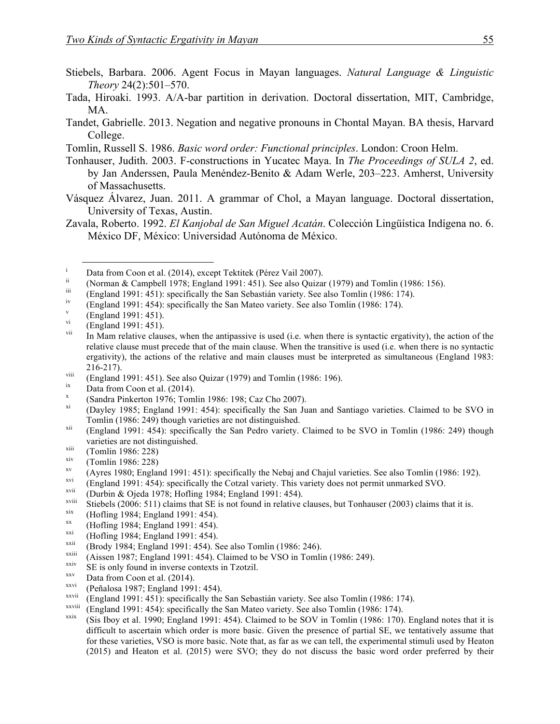- Stiebels, Barbara. 2006. Agent Focus in Mayan languages. *Natural Language & Linguistic Theory* 24(2):501–570.
- Tada, Hiroaki. 1993. A/A-bar partition in derivation. Doctoral dissertation, MIT, Cambridge, MA.
- Tandet, Gabrielle. 2013. Negation and negative pronouns in Chontal Mayan. BA thesis, Harvard College.
- Tomlin, Russell S. 1986. *Basic word order: Functional principles*. London: Croon Helm.
- Tonhauser, Judith. 2003. F-constructions in Yucatec Maya. In *The Proceedings of SULA 2*, ed. by Jan Anderssen, Paula Menéndez-Benito & Adam Werle, 203–223. Amherst, University of Massachusetts.
- Vásquez Álvarez, Juan. 2011. A grammar of Chol, a Mayan language. Doctoral dissertation, University of Texas, Austin.
- Zavala, Roberto. 1992. *El Kanjobal de San Miguel Acatán*. Colección Lingüística Indígena no. 6. México DF, México: Universidad Autónoma de México.

- 
- 
- 
- Data from Coon et al. (2014), except Tektitek (Pérez Vail 2007).<br>
(Norman & Campbell 1978; England 1991: 451). See also Quizar (1979) and Tomlin (1986: 156).<br>
(England 1991: 451): specifically the San Sebastián variety. S relative clause must precede that of the main clause. When the transitive is used (i.e. when there is no syntactic ergativity), the actions of the relative and main clauses must be interpreted as simultaneous (England 1983: 216-217).<br>  $\begin{array}{ll}\n\text{C} & \text{C} \\
\text{C} & \text{C} \\
\text{C} & \text{D} \\
\text{C} & \text{D} \\
\text{C} & \text{D} \\
\text{D} & \text{D} \\
\text{D} & \text{D} \\
\text{D} & \text{D} \\
\text{D} & \text{D} \\
\text{D} & \text{D} \\
\text{D} & \text{D} \\
\text{D} & \text{D} \\
\text{D} & \text{D} \\
\text{D} & \text{D} \\
\text{D} & \text{D} \\
\text{D} & \text{D} \\
\text{D} & \text{$
- 
- 
- 
- Tomlin (1986: 249) though varieties are not distinguished.<br>
(England 1991: 454): specifically the San Pedro variety. Claimed to be SVO in Tomlin (1986: 249) though
- varieties are not distinguished.<br>
(Tomlin 1986: 228)<br>
<sup>xiv</sup> (Tomlin 1986: 228)
- 
- 
- <sup>xiv</sup> (Tomlin 1986: 228)<br>
(Ayres 1980; England 1991: 451): specifically the Nebaj and Chajul varieties. See also Tomlin (1986: 192).<br>
(England 1991: 454): specifically the Cotzal variety. This variety does not permit unma
- 
- 
- 
- 
- 
- 
- 
- 
- 
- 
- 
- 
- 
- <sup>xvii</sup><br>
(Durbin & Ojeda 1978; Hofling 1984; England 1991: 454).<br>
<sup>xxii</sup><br>
(Hofling 1984; England 1991: 454).<br>
(Hofling 1984; England 1991: 454).<br>
(Hofling 1984; England 1991: 454).<br>
<sup>xxi</sup> (Hofling 1984; England 1991: 454). difficult to ascertain which order is more basic. Given the presence of partial SE, we tentatively assume that for these varieties, VSO is more basic. Note that, as far as we can tell, the experimental stimuli used by Heaton (2015) and Heaton et al. (2015) were SVO; they do not discuss the basic word order preferred by their